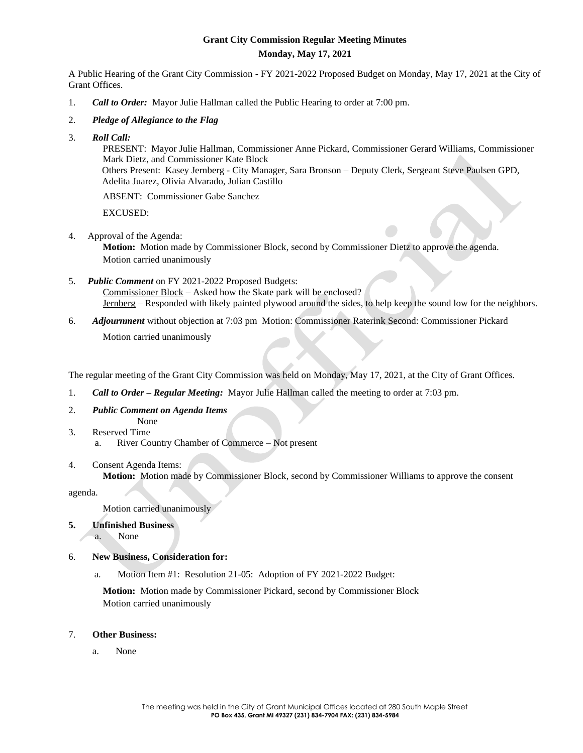# **Grant City Commission Regular Meeting Minutes Monday, May 17, 2021**

A Public Hearing of the Grant City Commission - FY 2021-2022 Proposed Budget on Monday, May 17, 2021 at the City of Grant Offices.

- 1. *Call to Order:* Mayor Julie Hallman called the Public Hearing to order at 7:00 pm.
- 2. *Pledge of Allegiance to the Flag*
- 3. *Roll Call:*

PRESENT: Mayor Julie Hallman, Commissioner Anne Pickard, Commissioner Gerard Williams, Commissioner Mark Dietz, and Commissioner Kate Block

Others Present: Kasey Jernberg - City Manager, Sara Bronson – Deputy Clerk, Sergeant Steve Paulsen GPD, Adelita Juarez, Olivia Alvarado, Julian Castillo

ABSENT: Commissioner Gabe Sanchez

EXCUSED:

4. Approval of the Agenda:

**Motion:** Motion made by Commissioner Block, second by Commissioner Dietz to approve the agenda. Motion carried unanimously

5. *Public Comment* on FY 2021-2022 Proposed Budgets: Commissioner Block – Asked how the Skate park will be enclosed?

Jernberg – Responded with likely painted plywood around the sides, to help keep the sound low for the neighbors.

6. *Adjournment* without objection at 7:03 pm Motion: Commissioner Raterink Second: Commissioner Pickard

Motion carried unanimously

The regular meeting of the Grant City Commission was held on Monday, May 17, 2021, at the City of Grant Offices.

- 1. *Call to Order – Regular Meeting:* Mayor Julie Hallman called the meeting to order at 7:03 pm.
- 2. *Public Comment on Agenda Items*
- None 3. Reserved Time
	- a. River Country Chamber of Commerce Not present

## 4. Consent Agenda Items:

**Motion:** Motion made by Commissioner Block, second by Commissioner Williams to approve the consent

agenda.

Motion carried unanimously

**5. Unfinished Business**

a. None

# 6. **New Business, Consideration for:**

a. Motion Item #1: Resolution 21-05: Adoption of FY 2021-2022 Budget:

**Motion:** Motion made by Commissioner Pickard, second by Commissioner Block Motion carried unanimously

## 7. **Other Business:**

a. None